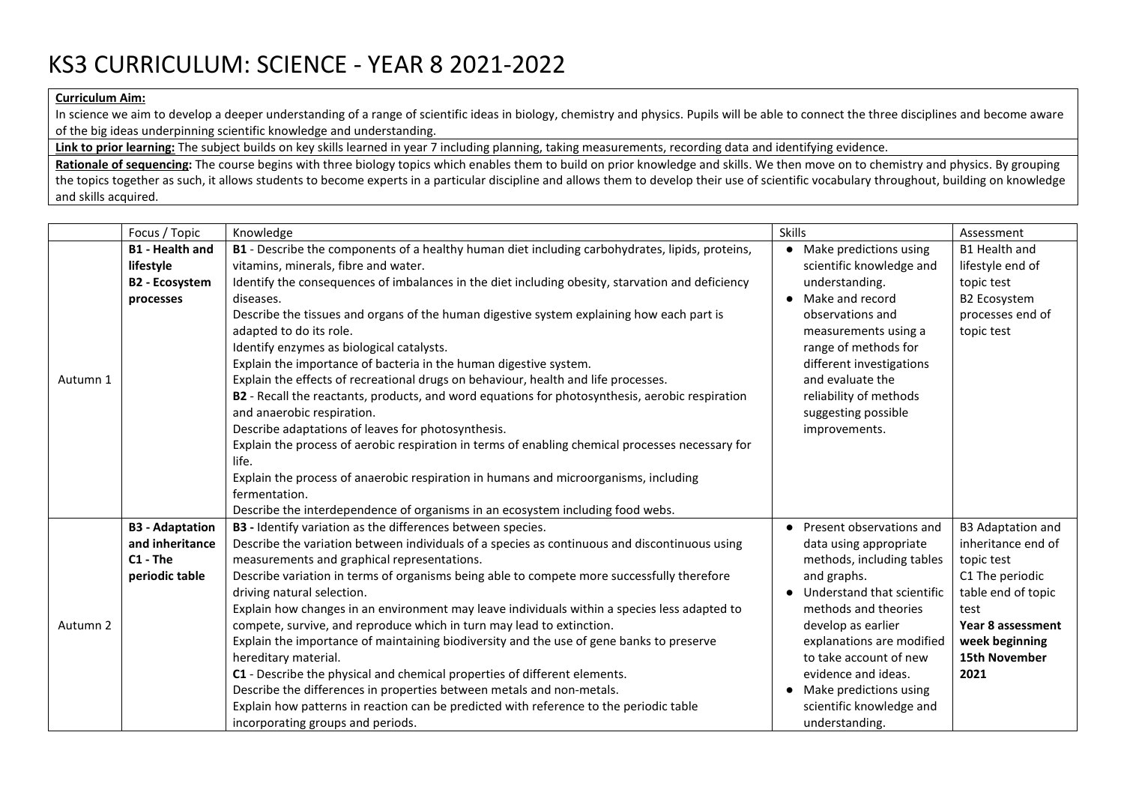## KS3 CURRICULUM: SCIENCE - YEAR 8 2021-2022

## **Curriculum Aim:**

In science we aim to develop a deeper understanding of a range of scientific ideas in biology, chemistry and physics. Pupils will be able to connect the three disciplines and become aware of the big ideas underpinning scientific knowledge and understanding.

Link to prior learning: The subject builds on key skills learned in year 7 including planning, taking measurements, recording data and identifying evidence.

**Rationale of sequencing:** The course begins with three biology topics which enables them to build on prior knowledge and skills. We then move on to chemistry and physics. By grouping the topics together as such, it allows students to become experts in a particular discipline and allows them to develop their use of scientific vocabulary throughout, building on knowledge and skills acquired.

|          | Focus / Topic          | Knowledge                                                                                        | <b>Skills</b>                | Assessment               |
|----------|------------------------|--------------------------------------------------------------------------------------------------|------------------------------|--------------------------|
| Autumn 1 | <b>B1 - Health and</b> | B1 - Describe the components of a healthy human diet including carbohydrates, lipids, proteins,  | • Make predictions using     | <b>B1 Health and</b>     |
|          | lifestyle              | vitamins, minerals, fibre and water.                                                             | scientific knowledge and     | lifestyle end of         |
|          | <b>B2 - Ecosystem</b>  | Identify the consequences of imbalances in the diet including obesity, starvation and deficiency | understanding.               | topic test               |
|          | processes              | diseases.                                                                                        | • Make and record            | <b>B2 Ecosystem</b>      |
|          |                        | Describe the tissues and organs of the human digestive system explaining how each part is        | observations and             | processes end of         |
|          |                        | adapted to do its role.                                                                          | measurements using a         | topic test               |
|          |                        | Identify enzymes as biological catalysts.                                                        | range of methods for         |                          |
|          |                        | Explain the importance of bacteria in the human digestive system.                                | different investigations     |                          |
|          |                        | Explain the effects of recreational drugs on behaviour, health and life processes.               | and evaluate the             |                          |
|          |                        | B2 - Recall the reactants, products, and word equations for photosynthesis, aerobic respiration  | reliability of methods       |                          |
|          |                        | and anaerobic respiration.                                                                       | suggesting possible          |                          |
|          |                        | Describe adaptations of leaves for photosynthesis.                                               | improvements.                |                          |
|          |                        | Explain the process of aerobic respiration in terms of enabling chemical processes necessary for |                              |                          |
|          |                        | life.                                                                                            |                              |                          |
|          |                        | Explain the process of anaerobic respiration in humans and microorganisms, including             |                              |                          |
|          |                        | fermentation.                                                                                    |                              |                          |
|          |                        | Describe the interdependence of organisms in an ecosystem including food webs.                   |                              |                          |
|          | <b>B3</b> - Adaptation | B3 - Identify variation as the differences between species.                                      | • Present observations and   | <b>B3 Adaptation and</b> |
| Autumn 2 | and inheritance        | Describe the variation between individuals of a species as continuous and discontinuous using    | data using appropriate       | inheritance end of       |
|          | $C1 - The$             | measurements and graphical representations.                                                      | methods, including tables    | topic test               |
|          | periodic table         | Describe variation in terms of organisms being able to compete more successfully therefore       | and graphs.                  | C1 The periodic          |
|          |                        | driving natural selection.                                                                       | • Understand that scientific | table end of topic       |
|          |                        | Explain how changes in an environment may leave individuals within a species less adapted to     | methods and theories         | test                     |
|          |                        | compete, survive, and reproduce which in turn may lead to extinction.                            | develop as earlier           | Year 8 assessment        |
|          |                        | Explain the importance of maintaining biodiversity and the use of gene banks to preserve         | explanations are modified    | week beginning           |
|          |                        | hereditary material.                                                                             | to take account of new       | 15th November            |
|          |                        | C1 - Describe the physical and chemical properties of different elements.                        | evidence and ideas.          | 2021                     |
|          |                        | Describe the differences in properties between metals and non-metals.                            | Make predictions using       |                          |
|          |                        | Explain how patterns in reaction can be predicted with reference to the periodic table           | scientific knowledge and     |                          |
|          |                        | incorporating groups and periods.                                                                | understanding.               |                          |